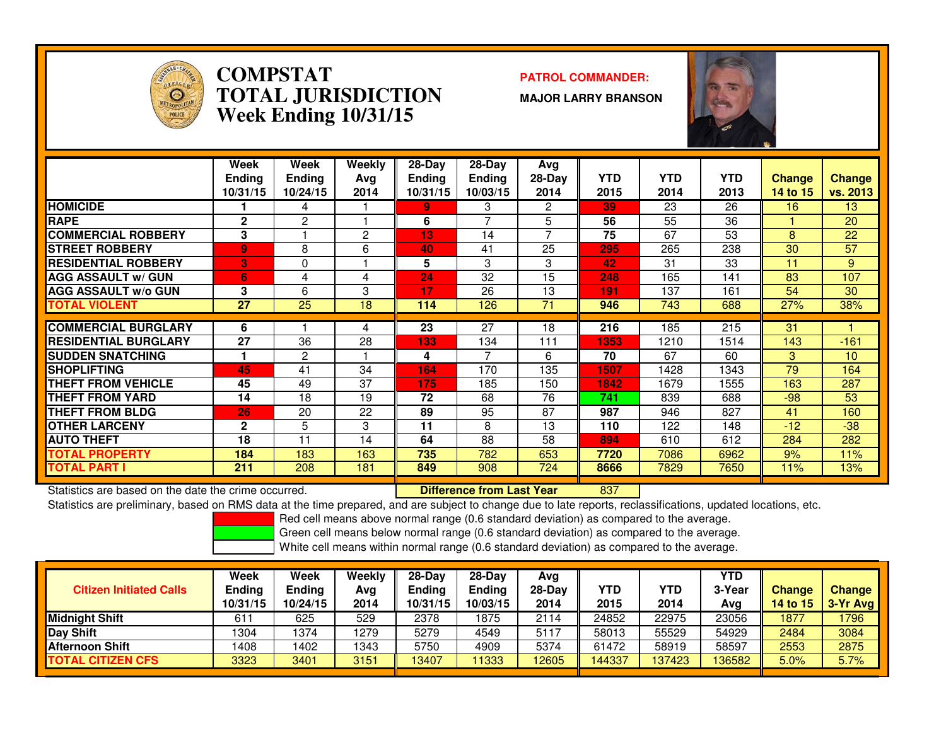

#### **COMPSTAT PATROL COMMANDER: TOTAL JURISDICTIONWeek Ending 10/31/15**

**MAJOR LARRY BRANSON**



|                             | Week<br><b>Endina</b><br>10/31/15 | Week<br><b>Ending</b><br>10/24/15 | Weekly<br>Ava<br>2014 | $28-Day$<br><b>Ending</b><br>10/31/15 | $28$ -Day<br><b>Ending</b><br>10/03/15 | Avg<br>$28-Day$<br>2014 | <b>YTD</b><br>2015 | <b>YTD</b><br>2014 | <b>YTD</b><br>2013 | <b>Change</b><br>14 to 15 | <b>Change</b><br>vs. 2013 |
|-----------------------------|-----------------------------------|-----------------------------------|-----------------------|---------------------------------------|----------------------------------------|-------------------------|--------------------|--------------------|--------------------|---------------------------|---------------------------|
| <b>HOMICIDE</b>             |                                   | 4                                 |                       | 9.                                    | 3                                      | 2                       | 39.                | 23                 | 26                 | 16                        | 13                        |
| <b>RAPE</b>                 | $\mathbf{2}$                      | 2                                 |                       | 6                                     |                                        | 5                       | 56                 | 55                 | 36                 |                           | 20                        |
| <b>COMMERCIAL ROBBERY</b>   | 3                                 |                                   | 2                     | 13                                    | 14                                     | 7                       | 75                 | 67                 | 53                 | 8                         | 22                        |
| <b>STREET ROBBERY</b>       | 9                                 | 8                                 | 6                     | 40                                    | 41                                     | 25                      | 295                | 265                | 238                | 30                        | 57                        |
| <b>RESIDENTIAL ROBBERY</b>  | B                                 | 0                                 |                       | 5                                     | 3                                      | 3                       | 42                 | 31                 | 33                 | 11                        | 9                         |
| <b>AGG ASSAULT w/ GUN</b>   | 6                                 | 4                                 | 4                     | 24                                    | 32                                     | 15                      | 248                | 165                | 141                | 83                        | 107                       |
| <b>AGG ASSAULT w/o GUN</b>  | 3                                 | 6                                 | 3                     | 17                                    | 26                                     | 13                      | 191                | 137                | 161                | 54                        | 30                        |
| <b>TOTAL VIOLENT</b>        | 27                                | 25                                | 18                    | 114                                   | 126                                    | 71                      | 946                | 743                | 688                | 27%                       | 38%                       |
|                             |                                   |                                   |                       |                                       |                                        |                         |                    |                    |                    |                           |                           |
| <b>COMMERCIAL BURGLARY</b>  | 6                                 |                                   | 4                     | 23                                    | 27                                     | 18                      | 216                | 185                | 215                | 31                        |                           |
| <b>RESIDENTIAL BURGLARY</b> | 27                                | 36                                | 28                    | 133                                   | 134                                    | 111                     | 1353               | 1210               | 1514               | 143                       | $-161$                    |
| <b>ISUDDEN SNATCHING</b>    |                                   | 2                                 |                       | 4                                     | $\overline{7}$                         | 6                       | 70                 | 67                 | 60                 | 3                         | 10                        |
| <b>SHOPLIFTING</b>          | 45                                | 41                                | 34                    | 164                                   | 170                                    | 135                     | 1507               | 1428               | 1343               | 79                        | 164                       |
| <b>THEFT FROM VEHICLE</b>   | 45                                | 49                                | 37                    | 175                                   | 185                                    | 150                     | 1842               | 1679               | 1555               | 163                       | 287                       |
| <b>THEFT FROM YARD</b>      | 14                                | 18                                | 19                    | 72                                    | 68                                     | 76                      | 741                | 839                | 688                | $-98$                     | 53                        |
| <b>THEFT FROM BLDG</b>      | 26                                | 20                                | 22                    | 89                                    | 95                                     | 87                      | 987                | 946                | 827                | 41                        | 160                       |
| <b>OTHER LARCENY</b>        | $\mathbf{2}$                      | 5                                 | 3                     | 11                                    | 8                                      | 13                      | 110                | 122                | 148                | $-12$                     | $-38$                     |
| <b>AUTO THEFT</b>           | 18                                | 11                                | 14                    | 64                                    | 88                                     | 58                      | 894                | 610                | 612                | 284                       | 282                       |
| <b>TOTAL PROPERTY</b>       | 184                               | 183                               | 163                   | 735                                   | 782                                    | 653                     | 7720               | 7086               | 6962               | 9%                        | 11%                       |
| <b>TOTAL PART I</b>         | 211                               | 208                               | 181                   | 849                                   | 908                                    | 724                     | 8666               | 7829               | 7650               | 11%                       | 13%                       |

Statistics are based on the date the crime occurred. **Difference from Last Year** 

#### <sup>837</sup>

Statistics are preliminary, based on RMS data at the time prepared, and are subject to change due to late reports, reclassifications, updated locations, etc.

Red cell means above normal range (0.6 standard deviation) as compared to the average.

Green cell means below normal range (0.6 standard deviation) as compared to the average.

| <b>Citizen Initiated Calls</b> | Week<br>Ending<br>10/31/15 | Week<br>Ending<br>10/24/15 | Weekly<br>Avg<br>2014 | 28-Dav<br>Ending<br>10/31/15 | $28-Day$<br><b>Ending</b><br>10/03/15 | Avg<br>$28-Dav$<br>2014 | YTD<br>2015 | YTD<br>2014 | YTD<br>3-Year<br>Avg | <b>Change</b><br><b>14 to 15</b> | <b>Change</b><br>3-Yr Avg |
|--------------------------------|----------------------------|----------------------------|-----------------------|------------------------------|---------------------------------------|-------------------------|-------------|-------------|----------------------|----------------------------------|---------------------------|
| Midniaht Shift                 | 611                        | 625                        | 529                   | 2378                         | 1875                                  | 2114                    | 24852       | 22975       | 23056                | 1877                             | 796                       |
| Day Shift                      | 1304                       | 1374                       | 1279                  | 5279                         | 4549                                  | 5117                    | 58013       | 55529       | 54929                | 2484                             | 3084                      |
| <b>Afternoon Shift</b>         | 1408                       | 1402                       | 1343                  | 5750                         | 4909                                  | 5374                    | 61472       | 58919       | 58597                | 2553                             | 2875                      |
| <b>TOTAL CITIZEN CFS</b>       | 3323                       | 3401                       | 3151                  | 13407                        | 1333                                  | 12605                   | 144337      | 137423      | 136582               | 5.0%                             | 5.7%                      |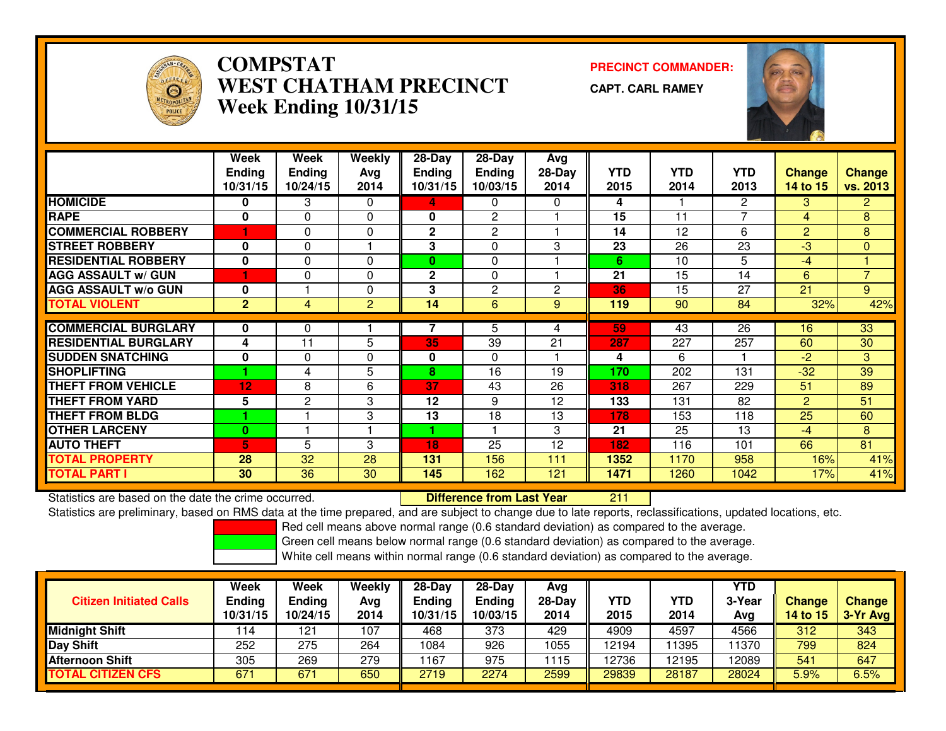

## **COMPSTAT PRECINCT COMMANDER: WEST CHATHAM PRECINCTWeek Ending 10/31/15**

**CAPT. CARL RAMEY**



|                             | Week           | Week            | <b>Weekly</b>  | $28 - Day$    | $28-Day$       | Avg          |      |            |                |                |                 |
|-----------------------------|----------------|-----------------|----------------|---------------|----------------|--------------|------|------------|----------------|----------------|-----------------|
|                             | <b>Ending</b>  | <b>Ending</b>   | Avg            | <b>Ending</b> | <b>Ending</b>  | $28-Day$     | YTD. | <b>YTD</b> | YTD            | <b>Change</b>  | <b>Change</b>   |
|                             | 10/31/15       | 10/24/15        | 2014           | 10/31/15      | 10/03/15       | 2014         | 2015 | 2014       | 2013           | 14 to 15       | <b>vs. 2013</b> |
| <b>HOMICIDE</b>             | 0              | 3               | $\Omega$       | 4             | 0              | 0            | 4    |            | $\overline{2}$ | 3.             | $\mathbf{2}$    |
| <b>RAPE</b>                 | 0              | $\Omega$        | $\Omega$       | 0             | $\mathbf{2}$   |              | 15   | 11         | $\overline{7}$ | 4              | 8               |
| <b>COMMERCIAL ROBBERY</b>   |                | 0               | $\Omega$       | $\mathbf{2}$  | 2              |              | 14   | 12         | 6              | $\overline{2}$ | 8               |
| <b>STREET ROBBERY</b>       | $\bf{0}$       | 0               |                | 3             | $\Omega$       | 3            | 23   | 26         | 23             | $-3$           | $\mathbf{0}$    |
| <b>RESIDENTIAL ROBBERY</b>  | 0              | $\Omega$        | $\Omega$       | 0             | $\Omega$       |              | 6    | 10         | 5              | $-4$           |                 |
| <b>AGG ASSAULT w/ GUN</b>   |                | $\Omega$        | $\Omega$       | 2             | 0              |              | 21   | 15         | 14             | 6              | $\overline{7}$  |
| <b>AGG ASSAULT w/o GUN</b>  | 0              |                 | $\Omega$       | 3             | $\overline{2}$ | $\mathbf{2}$ | 36   | 15         | 27             | 21             | 9               |
| <b>TOTAL VIOLENT</b>        | 2 <sup>1</sup> | 4               | $\overline{2}$ | 14            | 6              | 9            | 119  | 90         | 84             | 32%            | 42%             |
|                             |                |                 |                |               |                |              |      |            |                |                |                 |
| <b>COMMERCIAL BURGLARY</b>  | 0              | 0               |                |               | 5              | 4            | 59   | 43         | 26             | 16             | 33              |
| <b>RESIDENTIAL BURGLARY</b> | 4              | 11              | 5              | 35            | 39             | 21           | 287  | 227        | 257            | 60             | 30              |
| <b>SUDDEN SNATCHING</b>     | 0              | 0               | $\Omega$       | 0             | $\Omega$       |              | 4    | 6          |                | $-2$           | 3               |
| <b>SHOPLIFTING</b>          |                | 4               | 5              | 8             | 16             | 19           | 170  | 202        | 131            | $-32$          | 39              |
| <b>THEFT FROM VEHICLE</b>   | 12             | 8               | 6              | 37            | 43             | 26           | 318  | 267        | 229            | 51             | 89              |
| <b>THEFT FROM YARD</b>      | 5              | 2               | 3              | 12            | 9              | 12           | 133  | 131        | 82             | $\overline{2}$ | 51              |
| <b>THEFT FROM BLDG</b>      |                |                 | 3              | 13            | 18             | 13           | 178  | 153        | 118            | 25             | 60              |
| <b>OTHER LARCENY</b>        | 0              |                 |                |               |                | 3            | 21   | 25         | 13             | $-4$           | 8               |
| <b>AUTO THEFT</b>           | 5              | 5               | 3              | 18            | 25             | 12           | 182  | 116        | 101            | 66             | 81              |
| <b>TOTAL PROPERTY</b>       | 28             | 32              | 28             | 131           | 156            | 111          | 1352 | 1170       | 958            | 16%            | 41%             |
| <b>TOTAL PART I</b>         | 30             | $\overline{36}$ | 30             | 145           | 162            | 121          | 1471 | 1260       | 1042           | 17%            | 41%             |

Statistics are based on the date the crime occurred. **Difference from Last Year**  <sup>211</sup>Statistics are preliminary, based on RMS data at the time prepared, and are subject to change due to late reports, reclassifications, updated locations, etc.

Red cell means above normal range (0.6 standard deviation) as compared to the average.

Green cell means below normal range (0.6 standard deviation) as compared to the average.

| <b>Citizen Initiated Calls</b> | Week<br><b>Ending</b><br>10/31/15 | Week<br><b>Ending</b><br>10/24/15 | Weekly<br>Avg<br>2014 | $28-Dav$<br>Ending<br>10/31/15 | 28-Day<br><b>Ending</b><br>10/03/15 | Avg<br>$28$ -Day<br>2014 | YTD<br>2015 | YTD<br>2014 | YTD<br>3-Year<br>Avg | Change<br>14 to 15 | Change<br>3-Yr Avg |
|--------------------------------|-----------------------------------|-----------------------------------|-----------------------|--------------------------------|-------------------------------------|--------------------------|-------------|-------------|----------------------|--------------------|--------------------|
| <b>Midnight Shift</b>          | 14                                | 121                               | 107                   | 468                            | 373                                 | 429                      | 4909        | 4597        | 4566                 | 312                | 343                |
| <b>Day Shift</b>               | 252                               | 275                               | 264                   | 1084                           | 926                                 | 1055                     | 12194       | 1395        | 1370                 | 799                | 824                |
| Afternoon Shift                | 305                               | 269                               | 279                   | i 167                          | 975                                 | 1115                     | 12736       | 12195       | 12089                | 541                | 647                |
| <b>TOTAL CITIZEN CFS</b>       | 67'                               | 671                               | 650                   | 2719                           | 2274                                | 2599                     | 29839       | 28187       | 28024                | $5.9\%$            | 6.5%               |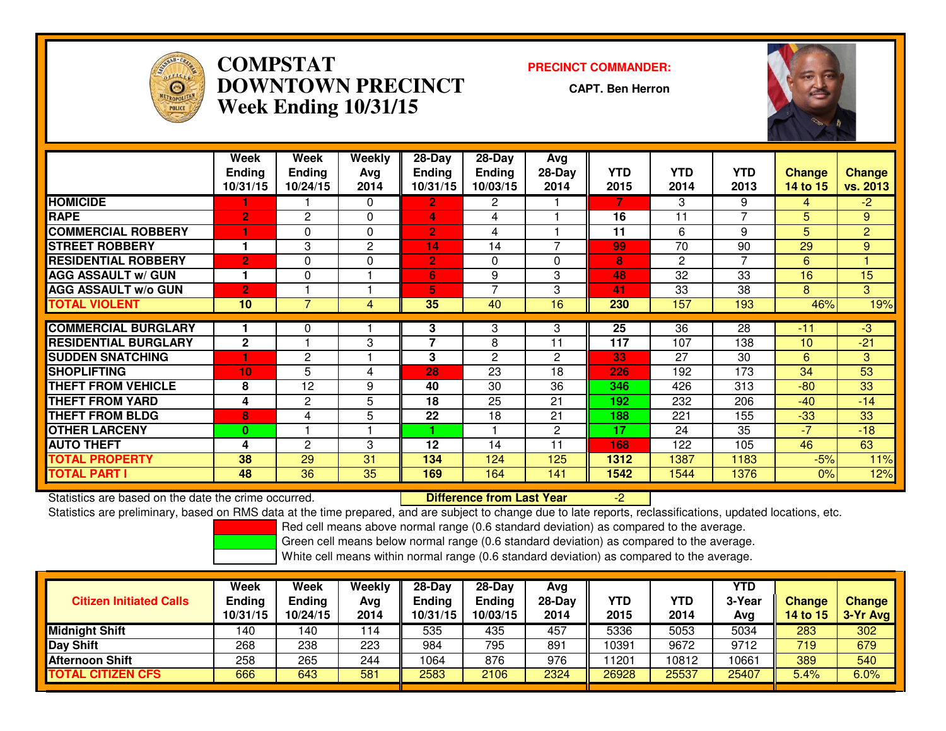

## **COMPSTAT PRECINCT COMMANDER: DOWNTOWN PRECINCTWeek Ending 10/31/15**

**CAPT. Ben Herron**



|                             | Week                      | Week                      | Weekly      | $28-Day$                  | $28$ -Day                 | Avg                      |                    |                    |                    |                           |                           |
|-----------------------------|---------------------------|---------------------------|-------------|---------------------------|---------------------------|--------------------------|--------------------|--------------------|--------------------|---------------------------|---------------------------|
|                             | <b>Ending</b><br>10/31/15 | <b>Ending</b><br>10/24/15 | Ava<br>2014 | <b>Ending</b><br>10/31/15 | <b>Ending</b><br>10/03/15 | $28-Day$<br>2014         | <b>YTD</b><br>2015 | <b>YTD</b><br>2014 | <b>YTD</b><br>2013 | <b>Change</b><br>14 to 15 | <b>Change</b><br>vs. 2013 |
| <b>HOMICIDE</b>             |                           |                           | $\Omega$    | $\overline{2}$            | 2                         |                          |                    | 3                  | 9                  | 4                         | $-2$                      |
|                             |                           |                           |             |                           |                           |                          |                    |                    | 7                  |                           |                           |
| <b>RAPE</b>                 | $\overline{2}$            | $\mathbf{2}$              | $\Omega$    | 4                         | 4                         |                          | 16                 | 11                 |                    | 5.                        | 9                         |
| <b>COMMERCIAL ROBBERY</b>   | 1                         | 0                         | $\Omega$    | 2                         | 4                         |                          | 11                 | 6                  | 9                  | 5.                        | $\overline{2}$            |
| <b>STREET ROBBERY</b>       |                           | 3                         | 2           | 14                        | 14                        | $\overline{\phantom{a}}$ | 99                 | 70                 | 90                 | 29                        | 9                         |
| <b>RESIDENTIAL ROBBERY</b>  | $\overline{2}$            | $\Omega$                  | $\Omega$    | $\overline{2}$            | $\Omega$                  | $\Omega$                 | 8                  | $\overline{c}$     | $\overline{7}$     | 6                         |                           |
| <b>AGG ASSAULT w/ GUN</b>   |                           | $\Omega$                  |             | 6                         | 9                         | 3                        | 48                 | 32                 | 33                 | 16                        | 15                        |
| <b>AGG ASSAULT w/o GUN</b>  | $\overline{2}$            |                           |             | 5                         | $\overline{ }$            | 3                        | 41                 | 33                 | 38                 | 8.                        | 3                         |
| <b>TOTAL VIOLENT</b>        | 10                        | 7                         | 4           | 35                        | 40                        | 16                       | 230                | 157                | 193                | 46%                       | 19%                       |
|                             |                           |                           |             |                           |                           |                          |                    |                    |                    |                           |                           |
| <b>COMMERCIAL BURGLARY</b>  |                           | 0                         |             | 3                         | 3                         | 3                        | 25                 | $\overline{36}$    | 28                 | $-11$                     | $-3$                      |
| <b>RESIDENTIAL BURGLARY</b> | $\mathbf{2}$              |                           | 3           | $\overline{\phantom{a}}$  | 8                         | 11                       | 117                | 107                | 138                | 10                        | $-21$                     |
| <b>SUDDEN SNATCHING</b>     |                           | 2                         |             | 3                         | $\overline{c}$            | $\overline{2}$           | 33                 | 27                 | 30                 | 6                         | 3                         |
| <b>ISHOPLIFTING</b>         | 10                        | 5                         | 4           | 28                        | 23                        | 18                       | 226                | 192                | 173                | 34                        | 53                        |
| <b>THEFT FROM VEHICLE</b>   | 8                         | 12                        | 9           | 40                        | 30                        | 36                       | 346                | 426                | 313                | $-80$                     | 33                        |
| <b>THEFT FROM YARD</b>      | 4                         | 2                         | 5           | 18                        | 25                        | 21                       | 192                | 232                | 206                | $-40$                     | $-14$                     |
| <b>THEFT FROM BLDG</b>      | 8                         | 4                         | 5           | 22                        | 18                        | 21                       | 188                | 221                | 155                | $-33$                     | 33                        |
| <b>OTHER LARCENY</b>        | $\bf{0}$                  |                           |             |                           |                           | $\overline{2}$           | 17                 | 24                 | 35                 | $-7$                      | $-18$                     |
| <b>AUTO THEFT</b>           | 4                         | $\mathbf{2}$              | 3           | 12                        | 14                        | 11                       | 168                | 122                | 105                | 46                        | 63                        |
| <b>TOTAL PROPERTY</b>       | 38                        | 29                        | 31          | 134                       | 124                       | 125                      | 1312               | 1387               | 1183               | $-5%$                     | 11%                       |
| <b>TOTAL PART I</b>         | 48                        | 36                        | 35          | 169                       | 164                       | 141                      | 1542               | 1544               | 1376               | 0%                        | 12%                       |

Statistics are based on the date the crime occurred. **Difference from Last Year**  -2Statistics are preliminary, based on RMS data at the time prepared, and are subject to change due to late reports, reclassifications, updated locations, etc.

Red cell means above normal range (0.6 standard deviation) as compared to the average.

Green cell means below normal range (0.6 standard deviation) as compared to the average.

| <b>Citizen Initiated Calls</b> | Week<br><b>Ending</b><br>10/31/15 | Week<br><b>Ending</b><br>10/24/15 | Weekly<br>Avg<br>2014 | $28-Dav$<br>Ending<br>10/31/15 | 28-Day<br><b>Ending</b><br>10/03/15 | Avg<br>$28$ -Day<br>2014 | YTD<br>2015 | YTD<br>2014 | YTD<br>3-Year<br>Avg | Change<br>14 to 15 | Change<br>$3-Yr$ Avg |
|--------------------------------|-----------------------------------|-----------------------------------|-----------------------|--------------------------------|-------------------------------------|--------------------------|-------------|-------------|----------------------|--------------------|----------------------|
| <b>Midnight Shift</b>          | 140                               | 140                               | 114                   | 535                            | 435                                 | 457                      | 5336        | 5053        | 5034                 | 283                | 302                  |
| <b>Day Shift</b>               | 268                               | 238                               | 223                   | 984                            | 795                                 | 891                      | 10391       | 9672        | 9712                 | 719                | 679                  |
| Afternoon Shift                | 258                               | 265                               | 244                   | 1064                           | 876                                 | 976                      | 1201        | 10812       | 10661                | 389                | 540                  |
| <b>TOTAL CITIZEN CFS</b>       | 666                               | 643                               | 581                   | 2583                           | 2106                                | 2324                     | 26928       | 25537       | 25407                | $5.4\%$            | 6.0%                 |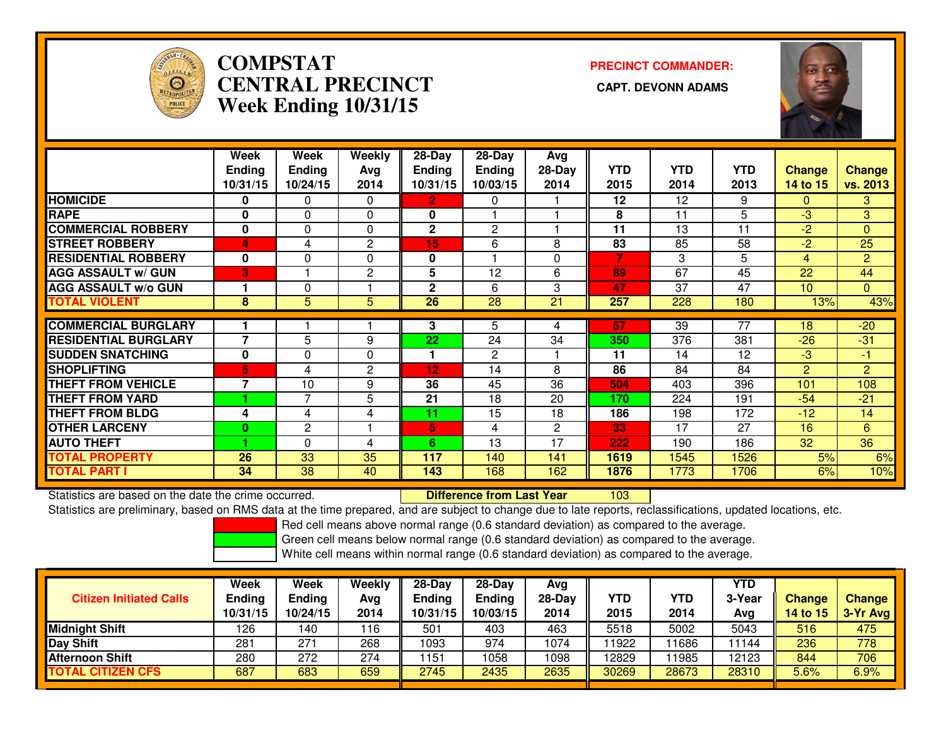

# **COMPSTATCENTRAL PRECINCT Week Ending 10/31/15**

**PRECINCT COMMANDER:**



|                             | Week                    | Week          | Weekly         | $28$ -Day     | 28-Day          | Avg          |            |            |                 |                 |                |
|-----------------------------|-------------------------|---------------|----------------|---------------|-----------------|--------------|------------|------------|-----------------|-----------------|----------------|
|                             | <b>Ending</b>           | <b>Ending</b> | Avg            | <b>Ending</b> | <b>Ending</b>   | $28-Day$     | <b>YTD</b> | <b>YTD</b> | <b>YTD</b>      | <b>Change</b>   | <b>Change</b>  |
|                             | 10/31/15                | 10/24/15      | 2014           | 10/31/15      | 10/03/15        | 2014         | 2015       | 2014       | 2013            | 14 to 15        | vs. 2013       |
| <b>HOMICIDE</b>             | 0                       | 0             | $\Omega$       | $\mathbf{2}$  | 0               |              | 12         | 12         | 9               | $\Omega$        | 3              |
| <b>RAPE</b>                 | 0                       | 0             | $\Omega$       | 0             |                 |              | 8          | 11         | 5               | $-3$            | 3              |
| <b>COMMERCIAL ROBBERY</b>   | 0                       | 0             | 0              | $\mathbf{2}$  | 2               |              | 11         | 13         | 11              | $-2$            | $\Omega$       |
| <b>STREET ROBBERY</b>       | $\overline{\mathbf{A}}$ | 4             | 2              | 15            | 6               | 8            | 83         | 85         | 58              | -2              | 25             |
| <b>RESIDENTIAL ROBBERY</b>  | $\bf{0}$                | $\Omega$      | $\Omega$       | 0             |                 | 0            | 7          | 3          | 5               | 4               | $\overline{2}$ |
| <b>AGG ASSAULT W/ GUN</b>   | 3                       |               | $\overline{c}$ | 5             | 12              | 6            | 89         | 67         | 45              | 22              | 44             |
| <b>AGG ASSAULT w/o GUN</b>  |                         | $\Omega$      |                | 2             | 6               | 3            | 47         | 37         | 47              | 10 <sup>1</sup> | $\mathbf{0}$   |
| <b>TOTAL VIOLENT</b>        | 8                       | 5             | 5              | 26            | $\overline{28}$ | 21           | 257        | 228        | 180             | 13%             | 43%            |
| <b>COMMERCIAL BURGLARY</b>  |                         |               |                |               |                 |              | 57         | 39         | $\overline{77}$ |                 |                |
|                             |                         |               |                | 3             | 5               | 4            |            |            |                 | 18              | $-20$          |
| <b>RESIDENTIAL BURGLARY</b> | $\overline{7}$          | 5             | 9              | 22            | 24              | 34           | 350        | 376        | 381             | $-26$           | $-31$          |
| <b>SUDDEN SNATCHING</b>     | $\bf{0}$                | 0             | $\Omega$       | 1             | 2               |              | 11         | 14         | 12              | $-3$            | $-1$           |
| <b>SHOPLIFTING</b>          | 5.                      | 4             | 2              | 12            | 14              | 8            | 86         | 84         | 84              | $\overline{2}$  | $\overline{2}$ |
| <b>THEFT FROM VEHICLE</b>   | 7                       | 10            | 9              | 36            | 45              | 36           | 504        | 403        | 396             | 101             | 108            |
| <b>THEFT FROM YARD</b>      |                         | 7             | 5              | 21            | 18              | 20           | 170        | 224        | 191             | $-54$           | $-21$          |
| <b>THEFT FROM BLDG</b>      | 4                       | 4             | 4              | 11            | 15              | 18           | 186        | 198        | 172             | $-12$           | 14             |
| <b>OTHER LARCENY</b>        | $\bf{0}$                | 2             |                | 5             | 4               | $\mathbf{2}$ | 33         | 17         | 27              | 16              | 6              |
| <b>AUTO THEFT</b>           |                         | $\Omega$      | 4              | 6             | 13              | 17           | 222        | 190        | 186             | 32              | 36             |
| <b>TOTAL PROPERTY</b>       | 26                      | 33            | 35             | 117           | 140             | 141          | 1619       | 1545       | 1526            | 5%              | 6%             |
| <b>TOTAL PART I</b>         | 34                      | 38            | 40             | 143           | 168             | 162          | 1876       | 1773       | 1706            | 6%              | 10%            |

Statistics are based on the date the crime occurred. **Difference from Last Year** 

Statistics are based on the date the crime occurred. **Exerce the Lub of Lifterence from Last Year Net all 200**<br>Statistics are preliminary, based on RMS data at the time prepared, and are subject to change due to late repor

Red cell means above normal range (0.6 standard deviation) as compared to the average.

Green cell means below normal range (0.6 standard deviation) as compared to the average.

| <b>Citizen Initiated Calls</b> | Week<br><b>Ending</b><br>10/31/15 | <b>Week</b><br><b>Ending</b><br>10/24/15 | Weekly<br>Avg<br>2014 | $28-Dav$<br><b>Ending</b><br>0/31/15 | $28-Day$<br><b>Ending</b><br>10/03/15 | Avg<br>$28-Day$<br>2014 | YTD<br>2015 | <b>YTD</b><br>2014 | YTD<br>3-Year<br>Avg | <b>Change</b><br>14 to 15 | <b>Change</b><br>3-Yr Avg |
|--------------------------------|-----------------------------------|------------------------------------------|-----------------------|--------------------------------------|---------------------------------------|-------------------------|-------------|--------------------|----------------------|---------------------------|---------------------------|
| <b>Midnight Shift</b>          | 126                               | 40،                                      | 116                   | 501                                  | 403                                   | 463                     | 5518        | 5002               | 5043                 | 516                       | 475                       |
| Day Shift                      | 281                               | 271                                      | 268                   | 1093                                 | 974                                   | 1074                    | 11922       | 1686               | 11144                | 236                       | 778                       |
| <b>Afternoon Shift</b>         | 280                               | 272                                      | 274                   | 151                                  | 1058                                  | 1098                    | 12829       | 1985               | 12123                | 844                       | 706                       |
| <b>TOTAL CITIZEN CFS</b>       | 687                               | 683                                      | 659                   | 2745                                 | 2435                                  | 2635                    | 30269       | 28673              | 28310                | 5.6%                      | 6.9%                      |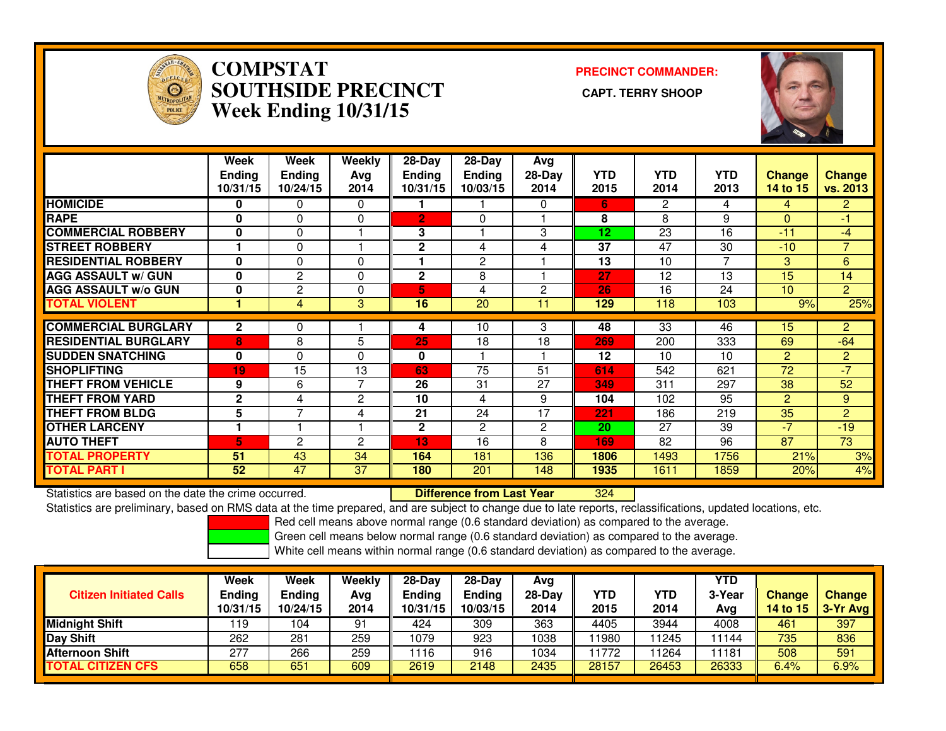

#### **COMPSTAT PRECINCT COMMANDER: SOUTHSIDE PRECINCT CAPT. TERRY SHOOPWeek Ending 10/31/15**



|                             | Week<br><b>Ending</b><br>10/31/15 | Week<br><b>Ending</b><br>10/24/15 | Weekly<br>Avg<br>2014 | $28-Day$<br><b>Ending</b><br>10/31/15 | $28-Day$<br><b>Ending</b><br>10/03/15 | Avg<br>28-Day<br>2014 | <b>YTD</b><br>2015 | <b>YTD</b><br>2014 | <b>YTD</b><br>2013 | <b>Change</b><br>14 to 15 | Change<br>vs. 2013 |
|-----------------------------|-----------------------------------|-----------------------------------|-----------------------|---------------------------------------|---------------------------------------|-----------------------|--------------------|--------------------|--------------------|---------------------------|--------------------|
| <b>HOMICIDE</b>             | 0                                 | 0                                 | 0                     |                                       |                                       | 0                     | 6.                 | 2                  | 4                  | 4                         | 2.                 |
| <b>RAPE</b>                 | 0                                 | $\Omega$                          | 0                     | $\overline{2}$                        | $\Omega$                              |                       | 8                  | 8                  | 9                  | 0                         | $-1$               |
| <b>COMMERCIAL ROBBERY</b>   | $\mathbf 0$                       | $\Omega$                          |                       | 3                                     |                                       | 3                     | 12                 | 23                 | 16                 | $-11$                     | $-4$               |
| <b>STREET ROBBERY</b>       |                                   | $\Omega$                          |                       | $\overline{2}$                        | 4                                     | 4                     | 37                 | 47                 | 30                 | $-10$                     | $\overline{7}$     |
| <b>RESIDENTIAL ROBBERY</b>  | $\mathbf 0$                       | $\Omega$                          | 0                     |                                       | $\overline{2}$                        |                       | 13                 | 10                 | 7                  | 3                         | 6                  |
| <b>AGG ASSAULT w/ GUN</b>   | 0                                 | 2                                 | 0                     | 2                                     | 8                                     |                       | 27                 | 12                 | 13                 | 15                        | 14                 |
| <b>AGG ASSAULT w/o GUN</b>  | 0                                 | 2                                 | 0                     | 5                                     | 4                                     | 2                     | 26                 | 16                 | 24                 | 10                        | $\overline{2}$     |
| <b>TOTAL VIOLENT</b>        |                                   | 4                                 | 3                     | 16                                    | 20                                    | 11                    | 129                | 118                | 103                | 9%                        | 25%                |
|                             |                                   |                                   |                       |                                       |                                       |                       |                    |                    |                    |                           |                    |
| <b>COMMERCIAL BURGLARY</b>  | $\mathbf{2}$                      | 0                                 |                       | 4                                     | 10                                    | 3                     | 48                 | 33                 | 46                 | 15                        | $\overline{2}$     |
| <b>RESIDENTIAL BURGLARY</b> | 8                                 | 8                                 | 5                     | 25                                    | 18                                    | 18                    | 269                | 200                | 333                | 69                        | $-64$              |
| <b>SUDDEN SNATCHING</b>     | 0                                 | $\Omega$                          | 0                     | 0                                     |                                       |                       | 12                 | 10                 | 10                 | 2                         | $\overline{2}$     |
| <b>SHOPLIFTING</b>          | 19                                | 15                                | 13                    | 63                                    | 75                                    | 51                    | 614                | 542                | 621                | 72                        | $-7$               |
| <b>THEFT FROM VEHICLE</b>   | 9                                 | 6                                 | 7                     | 26                                    | 31                                    | 27                    | 349                | 311                | 297                | 38                        | 52                 |
| <b>THEFT FROM YARD</b>      | $\mathbf{2}$                      | 4                                 | 2                     | 10                                    | 4                                     | 9                     | 104                | 102                | 95                 | $\overline{2}$            | 9                  |
| <b>THEFT FROM BLDG</b>      | 5                                 | $\overline{7}$                    | 4                     | 21                                    | 24                                    | 17                    | 221                | 186                | 219                | 35                        | $\overline{2}$     |
| <b>OTHER LARCENY</b>        |                                   |                                   |                       | $\overline{2}$                        | 2                                     | $\overline{2}$        | 20                 | 27                 | 39                 | $-7$                      | $-19$              |
| <b>AUTO THEFT</b>           | 5                                 | 2                                 | $\overline{2}$        | 13                                    | 16                                    | 8                     | 169                | 82                 | 96                 | 87                        | 73                 |
| <b>TOTAL PROPERTY</b>       | 51                                | 43                                | 34                    | 164                                   | 181                                   | 136                   | 1806               | 1493               | 1756               | 21%                       | 3%                 |
| <b>TOTAL PART I</b>         | 52                                | 47                                | 37                    | 180                                   | 201                                   | 148                   | 1935               | 1611               | 1859               | 20%                       | 4%                 |

Statistics are based on the date the crime occurred. **Difference from Last Year** 

<sup>324</sup>

Statistics are preliminary, based on RMS data at the time prepared, and are subject to change due to late reports, reclassifications, updated locations, etc.

Red cell means above normal range (0.6 standard deviation) as compared to the average.

Green cell means below normal range (0.6 standard deviation) as compared to the average.

| <b>Citizen Initiated Calls</b> | <b>Week</b><br><b>Ending</b><br>10/31/15 | <b>Week</b><br><b>Ending</b><br>10/24/15 | Weekly<br>Avg<br>2014 | $28-Dav$<br><b>Ending</b><br>10/31/15 | $28-Dav$<br><b>Ending</b><br>10/03/15 | Ava<br>28-Dav<br>2014 | YTD<br>2015 | YTD<br>2014 | YTD<br>3-Year<br>Ava | <b>Change</b><br><b>14 to 15</b> | <b>Change</b><br>3-Yr Avg |
|--------------------------------|------------------------------------------|------------------------------------------|-----------------------|---------------------------------------|---------------------------------------|-----------------------|-------------|-------------|----------------------|----------------------------------|---------------------------|
| <b>Midnight Shift</b>          | ∣19                                      | 104                                      | 91                    | 424                                   | 309                                   | 363                   | 4405        | 3944        | 4008                 | 461                              | 397                       |
| <b>Day Shift</b>               | 262                                      | 281                                      | 259                   | 1079                                  | 923                                   | 1038                  | 11980       | 1245        | 11144                | 735                              | 836                       |
| <b>Afternoon Shift</b>         | 277                                      | 266                                      | 259                   | 1116                                  | 916                                   | 1034                  | 11772       | 1264        | 11181                | 508                              | 591                       |
| <b>TOTAL CITIZEN CFS</b>       | 658                                      | 651                                      | 609                   | 2619                                  | 2148                                  | 2435                  | 28157       | 26453       | 26333                | 6.4%                             | 6.9%                      |